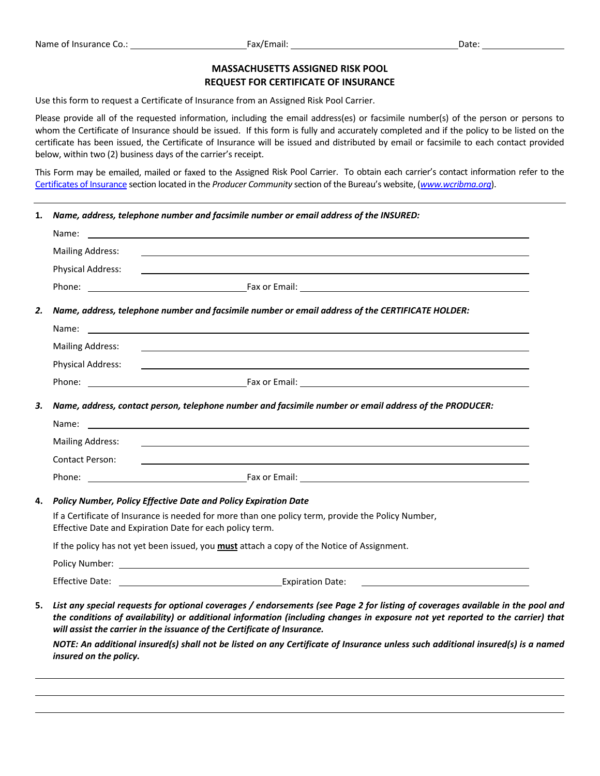## **MASSACHUSETTS ASSIGNED RISK POOL REQUEST FOR CERTIFICATE OF INSURANCE**

Use this form to request a Certificate of Insurance from an Assigned Risk Pool Carrier.

Please provide all of the requested information, including the email address(es) or facsimile number(s) of the person or persons to whom the Certificate of Insurance should be issued. If this form is fully and accurately completed and if the policy to be listed on the certificate has been issued, the Certificate of Insurance will be issued and distributed by email or facsimile to each contact provided below, within two (2) business days of the carrier's receipt.

This Form may be emailed, mailed or faxed to the Assigned Risk Pool Carrier. To obtain each carrier's contact information refer to the Certificates of Insurance section located in the *Producer Community* section of the Bureau's website, (*www.wcribma.org*).

**1***. Name, address, telephone number and facsimile number or email address of the INSURED:*

|    | Name:                                                                                                                                                         |                                                                                                                                                                                                                                                                                                                                              |  |  |
|----|---------------------------------------------------------------------------------------------------------------------------------------------------------------|----------------------------------------------------------------------------------------------------------------------------------------------------------------------------------------------------------------------------------------------------------------------------------------------------------------------------------------------|--|--|
|    | <b>Mailing Address:</b>                                                                                                                                       |                                                                                                                                                                                                                                                                                                                                              |  |  |
|    | <b>Physical Address:</b>                                                                                                                                      |                                                                                                                                                                                                                                                                                                                                              |  |  |
|    |                                                                                                                                                               |                                                                                                                                                                                                                                                                                                                                              |  |  |
| 2. |                                                                                                                                                               | Name, address, telephone number and facsimile number or email address of the CERTIFICATE HOLDER:                                                                                                                                                                                                                                             |  |  |
|    |                                                                                                                                                               |                                                                                                                                                                                                                                                                                                                                              |  |  |
|    | <b>Mailing Address:</b>                                                                                                                                       |                                                                                                                                                                                                                                                                                                                                              |  |  |
|    | <b>Physical Address:</b>                                                                                                                                      |                                                                                                                                                                                                                                                                                                                                              |  |  |
|    |                                                                                                                                                               |                                                                                                                                                                                                                                                                                                                                              |  |  |
| 3. | Name, address, contact person, telephone number and facsimile number or email address of the PRODUCER:                                                        |                                                                                                                                                                                                                                                                                                                                              |  |  |
|    | Name:                                                                                                                                                         |                                                                                                                                                                                                                                                                                                                                              |  |  |
|    | <b>Mailing Address:</b>                                                                                                                                       |                                                                                                                                                                                                                                                                                                                                              |  |  |
|    | <b>Contact Person:</b>                                                                                                                                        |                                                                                                                                                                                                                                                                                                                                              |  |  |
|    |                                                                                                                                                               |                                                                                                                                                                                                                                                                                                                                              |  |  |
| 4. |                                                                                                                                                               | Policy Number, Policy Effective Date and Policy Expiration Date                                                                                                                                                                                                                                                                              |  |  |
|    | If a Certificate of Insurance is needed for more than one policy term, provide the Policy Number,<br>Effective Date and Expiration Date for each policy term. |                                                                                                                                                                                                                                                                                                                                              |  |  |
|    | If the policy has not yet been issued, you <b>must</b> attach a copy of the Notice of Assignment.                                                             |                                                                                                                                                                                                                                                                                                                                              |  |  |
|    |                                                                                                                                                               |                                                                                                                                                                                                                                                                                                                                              |  |  |
|    |                                                                                                                                                               |                                                                                                                                                                                                                                                                                                                                              |  |  |
| 5. |                                                                                                                                                               | List any special requests for optional coverages / endorsements (see Page 2 for listing of coverages available in the pool and<br>the conditions of availability) or additional information (including changes in exposure not yet reported to the carrier) that<br>will assist the carrier in the issuance of the Certificate of Insurance. |  |  |
|    | insured on the policy.                                                                                                                                        | NOTE: An additional insured(s) shall not be listed on any Certificate of Insurance unless such additional insured(s) is a named                                                                                                                                                                                                              |  |  |